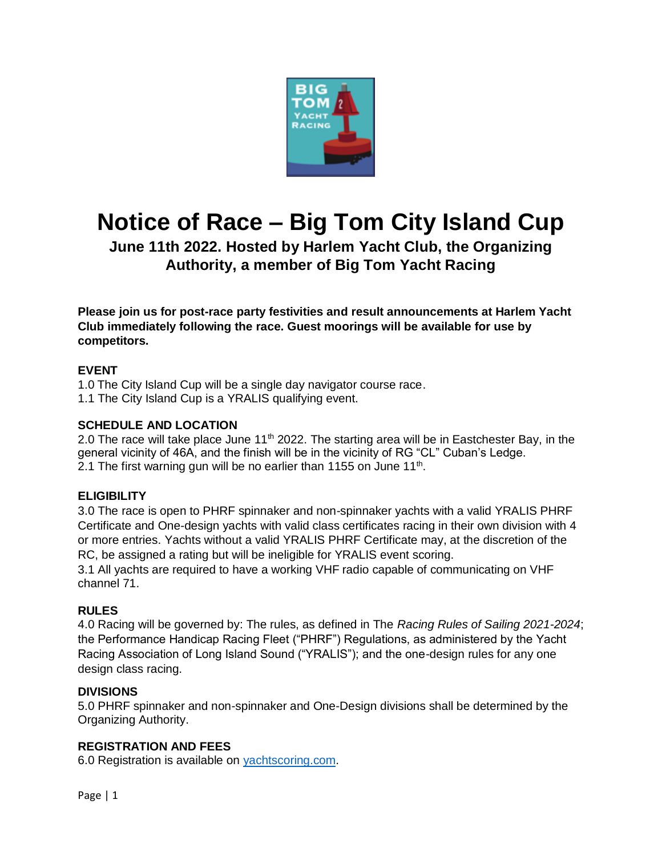

# **Notice of Race – Big Tom City Island Cup**

# **June 11th 2022. Hosted by Harlem Yacht Club, the Organizing Authority, a member of Big Tom Yacht Racing**

**Please join us for post-race party festivities and result announcements at Harlem Yacht Club immediately following the race. Guest moorings will be available for use by competitors.** 

# **EVENT**

1.0 The City Island Cup will be a single day navigator course race. 1.1 The City Island Cup is a YRALIS qualifying event.

# **SCHEDULE AND LOCATION**

2.0 The race will take place June 11<sup>th</sup> 2022. The starting area will be in Eastchester Bay, in the general vicinity of 46A, and the finish will be in the vicinity of RG "CL" Cuban's Ledge. 2.1 The first warning gun will be no earlier than 1155 on June 11<sup>th</sup>.

### **ELIGIBILITY**

3.0 The race is open to PHRF spinnaker and non-spinnaker yachts with a valid YRALIS PHRF Certificate and One-design yachts with valid class certificates racing in their own division with 4 or more entries. Yachts without a valid YRALIS PHRF Certificate may, at the discretion of the RC, be assigned a rating but will be ineligible for YRALIS event scoring.

3.1 All yachts are required to have a working VHF radio capable of communicating on VHF channel 71.

### **RULES**

4.0 Racing will be governed by: The rules, as defined in The *Racing Rules of Sailing 2021-2024*; the Performance Handicap Racing Fleet ("PHRF") Regulations, as administered by the Yacht Racing Association of Long Island Sound ("YRALIS"); and the one-design rules for any one design class racing.

### **DIVISIONS**

5.0 PHRF spinnaker and non-spinnaker and One-Design divisions shall be determined by the Organizing Authority.

### **REGISTRATION AND FEES**

6.0 Registration is available on [yachtscoring.com.](https://yachtscoring.com/)

Page | 1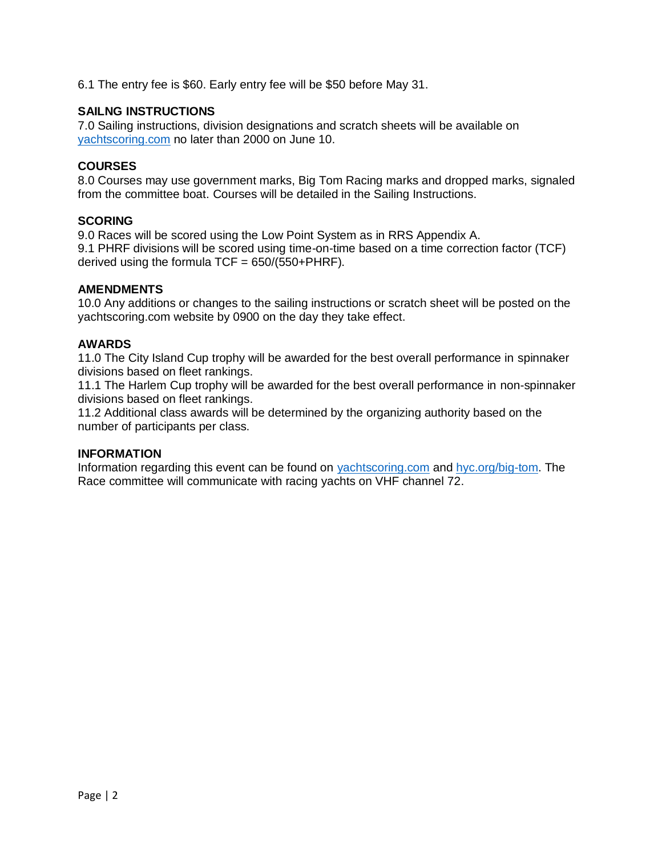6.1 The entry fee is \$60. Early entry fee will be \$50 before May 31.

### **SAILNG INSTRUCTIONS**

7.0 Sailing instructions, division designations and scratch sheets will be available on [yachtscoring.com](https://yachtscoring.com/) no later than 2000 on June 10.

#### **COURSES**

8.0 Courses may use government marks, Big Tom Racing marks and dropped marks, signaled from the committee boat. Courses will be detailed in the Sailing Instructions.

#### **SCORING**

9.0 Races will be scored using the Low Point System as in RRS Appendix A. 9.1 PHRF divisions will be scored using time-on-time based on a time correction factor (TCF) derived using the formula  $TCF = 650/(550+PHRF)$ .

#### **AMENDMENTS**

10.0 Any additions or changes to the sailing instructions or scratch sheet will be posted on the yachtscoring.com website by 0900 on the day they take effect.

#### **AWARDS**

11.0 The City Island Cup trophy will be awarded for the best overall performance in spinnaker divisions based on fleet rankings.

11.1 The Harlem Cup trophy will be awarded for the best overall performance in non-spinnaker divisions based on fleet rankings.

11.2 Additional class awards will be determined by the organizing authority based on the number of participants per class.

#### **INFORMATION**

Information regarding this event can be found on [yachtscoring.com](https://yachtscoring.com/) and [hyc.org/big-tom.](https://www.hyc.org/big-tom/) The Race committee will communicate with racing yachts on VHF channel 72.